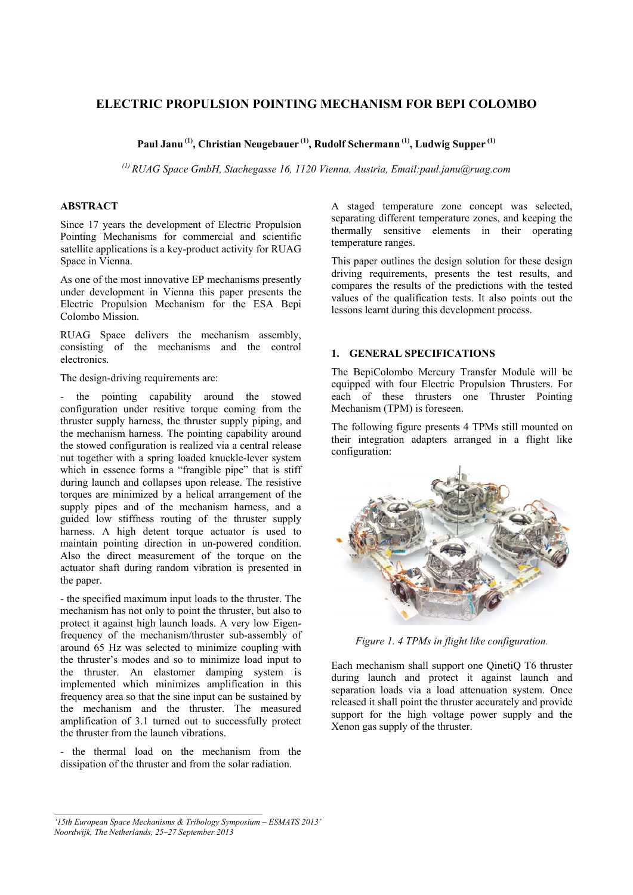# **ELECTRIC PROPULSION POINTING MECHANISM FOR BEPI COLOMBO**

**Paul Janu (1), Christian Neugebauer (1), Rudolf Schermann (1), Ludwig Supper (1)**

*(1) RUAG Space GmbH, Stachegasse 16, 1120 Vienna, Austria, Email:paul.janu@ruag.com* 

## **ABSTRACT**

Since 17 years the development of Electric Propulsion Pointing Mechanisms for commercial and scientific satellite applications is a key-product activity for RUAG Space in Vienna.

As one of the most innovative EP mechanisms presently under development in Vienna this paper presents the Electric Propulsion Mechanism for the ESA Bepi Colombo Mission.

RUAG Space delivers the mechanism assembly, consisting of the mechanisms and the control electronics.

The design-driving requirements are:

- the pointing capability around the stowed configuration under resitive torque coming from the thruster supply harness, the thruster supply piping, and the mechanism harness. The pointing capability around the stowed configuration is realized via a central release nut together with a spring loaded knuckle-lever system which in essence forms a "frangible pipe" that is stiff during launch and collapses upon release. The resistive torques are minimized by a helical arrangement of the supply pipes and of the mechanism harness, and a guided low stiffness routing of the thruster supply harness. A high detent torque actuator is used to maintain pointing direction in un-powered condition. Also the direct measurement of the torque on the actuator shaft during random vibration is presented in the paper.

- the specified maximum input loads to the thruster. The mechanism has not only to point the thruster, but also to protect it against high launch loads. A very low Eigenfrequency of the mechanism/thruster sub-assembly of around 65 Hz was selected to minimize coupling with the thruster's modes and so to minimize load input to the thruster. An elastomer damping system is implemented which minimizes amplification in this frequency area so that the sine input can be sustained by the mechanism and the thruster. The measured amplification of 3.1 turned out to successfully protect the thruster from the launch vibrations.

- the thermal load on the mechanism from the dissipation of the thruster and from the solar radiation.

A staged temperature zone concept was selected, separating different temperature zones, and keeping the thermally sensitive elements in their operating temperature ranges.

This paper outlines the design solution for these design driving requirements, presents the test results, and compares the results of the predictions with the tested values of the qualification tests. It also points out the lessons learnt during this development process.

# **1. GENERAL SPECIFICATIONS**

The BepiColombo Mercury Transfer Module will be equipped with four Electric Propulsion Thrusters. For each of these thrusters one Thruster Pointing Mechanism (TPM) is foreseen.

The following figure presents 4 TPMs still mounted on their integration adapters arranged in a flight like configuration:



*Figure 1. 4 TPMs in flight like configuration.* 

Each mechanism shall support one QinetiQ T6 thruster during launch and protect it against launch and separation loads via a load attenuation system. Once released it shall point the thruster accurately and provide support for the high voltage power supply and the Xenon gas supply of the thruster.

*<sup>&#</sup>x27;15th European Space Mechanisms & Tribology Symposium – ESMATS 2013' Noordwijk, The Netherlands, 25–27 September 2013*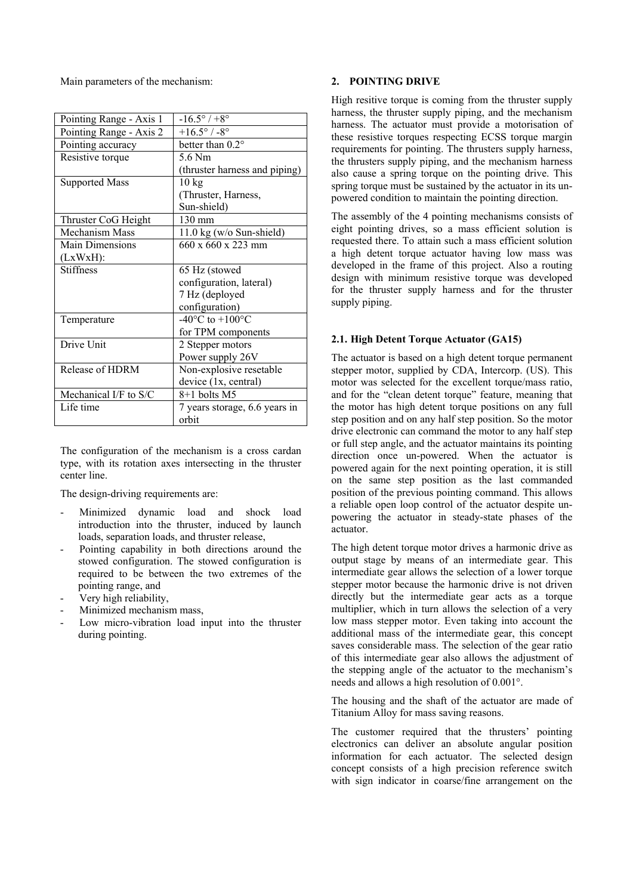Main parameters of the mechanism:

| Pointing Range - Axis 1 | $-16.5^{\circ}$ / +8 $^{\circ}$     |
|-------------------------|-------------------------------------|
| Pointing Range - Axis 2 | $+16.5^{\circ}$ / -8°               |
| Pointing accuracy       | better than 0.2°                    |
| Resistive torque        | 5.6 Nm                              |
|                         | (thruster harness and piping)       |
| <b>Supported Mass</b>   | $10 \text{ kg}$                     |
|                         | (Thruster, Harness,                 |
|                         | Sun-shield)                         |
| Thruster CoG Height     | 130 mm                              |
| Mechanism Mass          | $11.0 \text{ kg}$ (w/o Sun-shield)  |
| <b>Main Dimensions</b>  | $660 \times 660 \times 223$ mm      |
| (LxWxH):                |                                     |
| <b>Stiffness</b>        | 65 Hz (stowed                       |
|                         | configuration, lateral)             |
|                         | 7 Hz (deployed                      |
|                         | configuration)                      |
| Temperature             | $-40^{\circ}$ C to $+100^{\circ}$ C |
|                         | for TPM components                  |
| Drive Unit              | 2 Stepper motors                    |
|                         | Power supply 26V                    |
| Release of HDRM         | Non-explosive resetable             |
|                         | device (1x, central)                |
| Mechanical I/F to S/C   | 8+1 bolts M5                        |
| Life time               | 7 years storage, 6.6 years in       |
|                         | orbit                               |

The configuration of the mechanism is a cross cardan type, with its rotation axes intersecting in the thruster center line.

The design-driving requirements are:

- Minimized dynamic load and shock load introduction into the thruster, induced by launch loads, separation loads, and thruster release,
- Pointing capability in both directions around the stowed configuration. The stowed configuration is required to be between the two extremes of the pointing range, and
- Very high reliability,
- Minimized mechanism mass,
- Low micro-vibration load input into the thruster during pointing.

#### **2. POINTING DRIVE**

High resitive torque is coming from the thruster supply harness, the thruster supply piping, and the mechanism harness. The actuator must provide a motorisation of these resistive torques respecting ECSS torque margin requirements for pointing. The thrusters supply harness, the thrusters supply piping, and the mechanism harness also cause a spring torque on the pointing drive. This spring torque must be sustained by the actuator in its unpowered condition to maintain the pointing direction.

The assembly of the 4 pointing mechanisms consists of eight pointing drives, so a mass efficient solution is requested there. To attain such a mass efficient solution a high detent torque actuator having low mass was developed in the frame of this project. Also a routing design with minimum resistive torque was developed for the thruster supply harness and for the thruster supply piping.

## **2.1. High Detent Torque Actuator (GA15)**

The actuator is based on a high detent torque permanent stepper motor, supplied by CDA, Intercorp. (US). This motor was selected for the excellent torque/mass ratio, and for the "clean detent torque" feature, meaning that the motor has high detent torque positions on any full step position and on any half step position. So the motor drive electronic can command the motor to any half step or full step angle, and the actuator maintains its pointing direction once un-powered. When the actuator is powered again for the next pointing operation, it is still on the same step position as the last commanded position of the previous pointing command. This allows a reliable open loop control of the actuator despite unpowering the actuator in steady-state phases of the actuator.

The high detent torque motor drives a harmonic drive as output stage by means of an intermediate gear. This intermediate gear allows the selection of a lower torque stepper motor because the harmonic drive is not driven directly but the intermediate gear acts as a torque multiplier, which in turn allows the selection of a very low mass stepper motor. Even taking into account the additional mass of the intermediate gear, this concept saves considerable mass. The selection of the gear ratio of this intermediate gear also allows the adjustment of the stepping angle of the actuator to the mechanism's needs and allows a high resolution of 0.001°.

The housing and the shaft of the actuator are made of Titanium Alloy for mass saving reasons.

The customer required that the thrusters' pointing electronics can deliver an absolute angular position information for each actuator. The selected design concept consists of a high precision reference switch with sign indicator in coarse/fine arrangement on the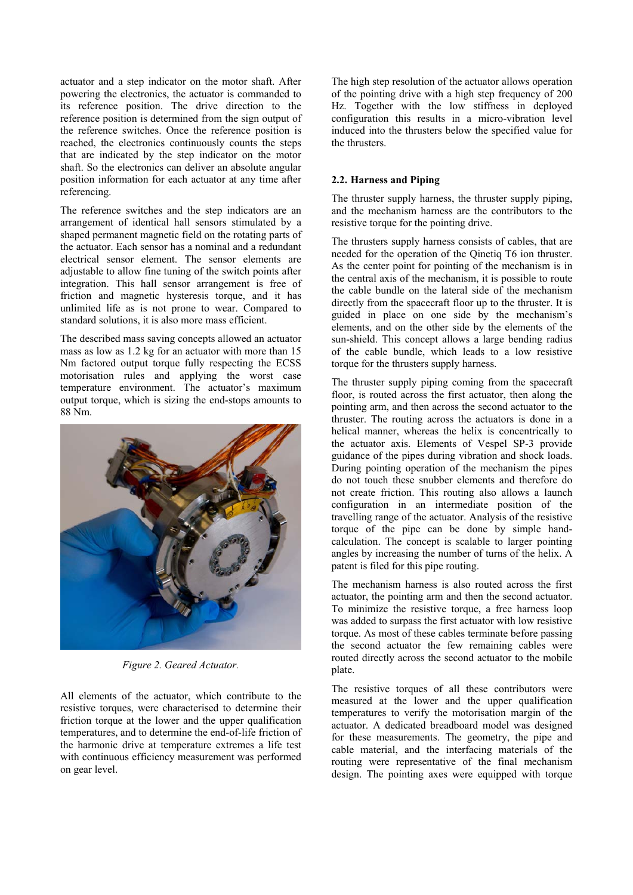actuator and a step indicator on the motor shaft. After powering the electronics, the actuator is commanded to its reference position. The drive direction to the reference position is determined from the sign output of the reference switches. Once the reference position is reached, the electronics continuously counts the steps that are indicated by the step indicator on the motor shaft. So the electronics can deliver an absolute angular position information for each actuator at any time after referencing.

The reference switches and the step indicators are an arrangement of identical hall sensors stimulated by a shaped permanent magnetic field on the rotating parts of the actuator. Each sensor has a nominal and a redundant electrical sensor element. The sensor elements are adjustable to allow fine tuning of the switch points after integration. This hall sensor arrangement is free of friction and magnetic hysteresis torque, and it has unlimited life as is not prone to wear. Compared to standard solutions, it is also more mass efficient.

The described mass saving concepts allowed an actuator mass as low as 1.2 kg for an actuator with more than 15 Nm factored output torque fully respecting the ECSS motorisation rules and applying the worst case temperature environment. The actuator's maximum output torque, which is sizing the end-stops amounts to 88 Nm.



*Figure 2. Geared Actuator.* 

All elements of the actuator, which contribute to the resistive torques, were characterised to determine their friction torque at the lower and the upper qualification temperatures, and to determine the end-of-life friction of the harmonic drive at temperature extremes a life test with continuous efficiency measurement was performed on gear level.

The high step resolution of the actuator allows operation of the pointing drive with a high step frequency of 200 Hz. Together with the low stiffness in deployed configuration this results in a micro-vibration level induced into the thrusters below the specified value for the thrusters.

# **2.2. Harness and Piping**

The thruster supply harness, the thruster supply piping, and the mechanism harness are the contributors to the resistive torque for the pointing drive.

The thrusters supply harness consists of cables, that are needed for the operation of the Qinetiq T6 ion thruster. As the center point for pointing of the mechanism is in the central axis of the mechanism, it is possible to route the cable bundle on the lateral side of the mechanism directly from the spacecraft floor up to the thruster. It is guided in place on one side by the mechanism's elements, and on the other side by the elements of the sun-shield. This concept allows a large bending radius of the cable bundle, which leads to a low resistive torque for the thrusters supply harness.

The thruster supply piping coming from the spacecraft floor, is routed across the first actuator, then along the pointing arm, and then across the second actuator to the thruster. The routing across the actuators is done in a helical manner, whereas the helix is concentrically to the actuator axis. Elements of Vespel SP-3 provide guidance of the pipes during vibration and shock loads. During pointing operation of the mechanism the pipes do not touch these snubber elements and therefore do not create friction. This routing also allows a launch configuration in an intermediate position of the travelling range of the actuator. Analysis of the resistive torque of the pipe can be done by simple handcalculation. The concept is scalable to larger pointing angles by increasing the number of turns of the helix. A patent is filed for this pipe routing.

The mechanism harness is also routed across the first actuator, the pointing arm and then the second actuator. To minimize the resistive torque, a free harness loop was added to surpass the first actuator with low resistive torque. As most of these cables terminate before passing the second actuator the few remaining cables were routed directly across the second actuator to the mobile plate.

The resistive torques of all these contributors were measured at the lower and the upper qualification temperatures to verify the motorisation margin of the actuator. A dedicated breadboard model was designed for these measurements. The geometry, the pipe and cable material, and the interfacing materials of the routing were representative of the final mechanism design. The pointing axes were equipped with torque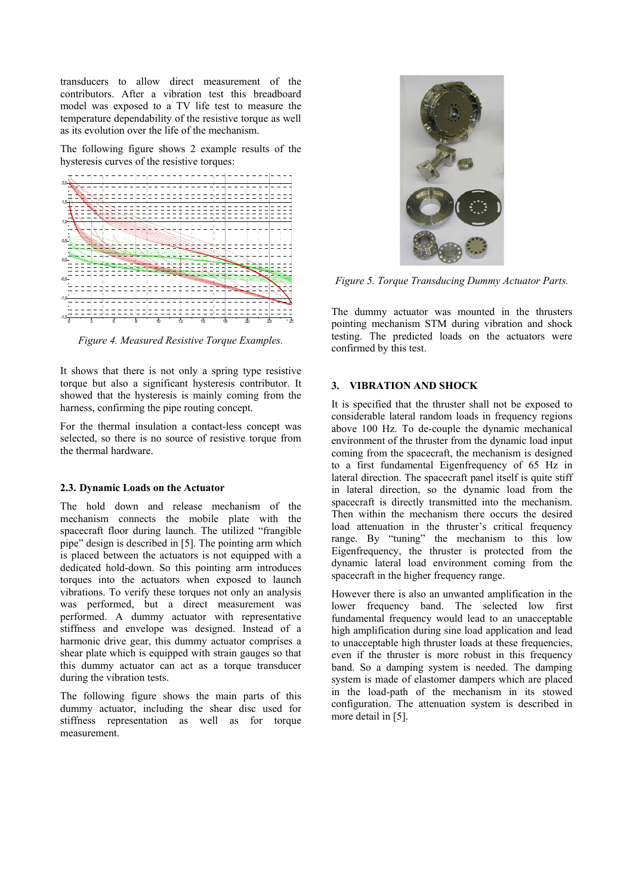transducers to allow direct measurement of the contributors. After a vibration test this breadboard model was exposed to a TV life test to measure the temperature dependability of the resistive torque as well as its evolution over the life of the mechanism.

The following figure shows 2 example results of the hysteresis curves of the resistive torques:



*Figure 4. Measured Resistive Torque Examples.* 

It shows that there is not only a spring type resistive torque but also a significant hysteresis contributor. It showed that the hysteresis is mainly coming from the harness, confirming the pipe routing concept.

For the thermal insulation a contact-less concept was selected, so there is no source of resistive torque from the thermal hardware.

## **2.3. Dynamic Loads on the Actuator**

The hold down and release mechanism of the mechanism connects the mobile plate with the spacecraft floor during launch. The utilized "frangible pipe" design is described in [5]. The pointing arm which is placed between the actuators is not equipped with a dedicated hold-down. So this pointing arm introduces torques into the actuators when exposed to launch vibrations. To verify these torques not only an analysis was performed, but a direct measurement was performed. A dummy actuator with representative stiffness and envelope was designed. Instead of a harmonic drive gear, this dummy actuator comprises a shear plate which is equipped with strain gauges so that this dummy actuator can act as a torque transducer during the vibration tests.

The following figure shows the main parts of this dummy actuator, including the shear disc used for stiffness representation as well as for torque measurement.



*Figure 5. Torque Transducing Dummy Actuator Parts.* 

The dummy actuator was mounted in the thrusters pointing mechanism STM during vibration and shock testing. The predicted loads on the actuators were confirmed by this test.

## **3. VIBRATION AND SHOCK**

It is specified that the thruster shall not be exposed to considerable lateral random loads in frequency regions above 100 Hz. To de-couple the dynamic mechanical environment of the thruster from the dynamic load input coming from the spacecraft, the mechanism is designed to a first fundamental Eigenfrequency of 65 Hz in lateral direction. The spacecraft panel itself is quite stiff in lateral direction, so the dynamic load from the spacecraft is directly transmitted into the mechanism. Then within the mechanism there occurs the desired load attenuation in the thruster's critical frequency range. By "tuning" the mechanism to this low Eigenfrequency, the thruster is protected from the dynamic lateral load environment coming from the spacecraft in the higher frequency range.

However there is also an unwanted amplification in the lower frequency band. The selected low first fundamental frequency would lead to an unacceptable high amplification during sine load application and lead to unacceptable high thruster loads at these frequencies, even if the thruster is more robust in this frequency band. So a damping system is needed. The damping system is made of elastomer dampers which are placed in the load-path of the mechanism in its stowed configuration. The attenuation system is described in more detail in [5].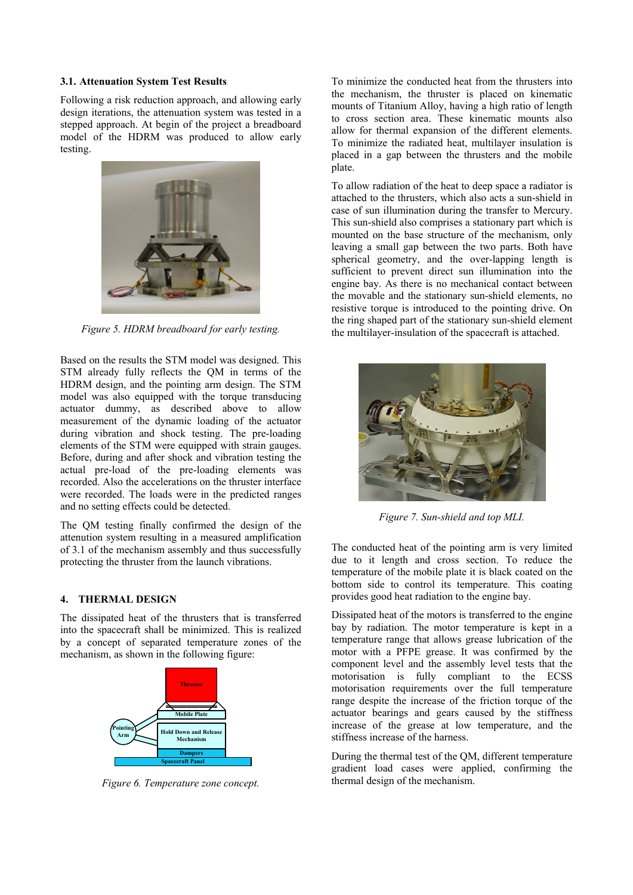#### **3.1. Attenuation System Test Results**

Following a risk reduction approach, and allowing early design iterations, the attenuation system was tested in a stepped approach. At begin of the project a breadboard model of the HDRM was produced to allow early testing.



*Figure 5. HDRM breadboard for early testing.* 

Based on the results the STM model was designed. This STM already fully reflects the QM in terms of the HDRM design, and the pointing arm design. The STM model was also equipped with the torque transducing actuator dummy, as described above to allow measurement of the dynamic loading of the actuator during vibration and shock testing. The pre-loading elements of the STM were equipped with strain gauges. Before, during and after shock and vibration testing the actual pre-load of the pre-loading elements was recorded. Also the accelerations on the thruster interface were recorded. The loads were in the predicted ranges and no setting effects could be detected.

The QM testing finally confirmed the design of the attenution system resulting in a measured amplification of 3.1 of the mechanism assembly and thus successfully protecting the thruster from the launch vibrations.

#### **4. THERMAL DESIGN**

The dissipated heat of the thrusters that is transferred into the spacecraft shall be minimized. This is realized by a concept of separated temperature zones of the mechanism, as shown in the following figure:



*Figure 6. Temperature zone concept.* 

To minimize the conducted heat from the thrusters into the mechanism, the thruster is placed on kinematic mounts of Titanium Alloy, having a high ratio of length to cross section area. These kinematic mounts also allow for thermal expansion of the different elements. To minimize the radiated heat, multilayer insulation is placed in a gap between the thrusters and the mobile plate.

To allow radiation of the heat to deep space a radiator is attached to the thrusters, which also acts a sun-shield in case of sun illumination during the transfer to Mercury. This sun-shield also comprises a stationary part which is mounted on the base structure of the mechanism, only leaving a small gap between the two parts. Both have spherical geometry, and the over-lapping length is sufficient to prevent direct sun illumination into the engine bay. As there is no mechanical contact between the movable and the stationary sun-shield elements, no resistive torque is introduced to the pointing drive. On the ring shaped part of the stationary sun-shield element the multilayer-insulation of the spacecraft is attached.



*Figure 7. Sun-shield and top MLI.* 

The conducted heat of the pointing arm is very limited due to it length and cross section. To reduce the temperature of the mobile plate it is black coated on the bottom side to control its temperature. This coating provides good heat radiation to the engine bay.

Dissipated heat of the motors is transferred to the engine bay by radiation. The motor temperature is kept in a temperature range that allows grease lubrication of the motor with a PFPE grease. It was confirmed by the component level and the assembly level tests that the motorisation is fully compliant to the ECSS motorisation requirements over the full temperature range despite the increase of the friction torque of the actuator bearings and gears caused by the stiffness increase of the grease at low temperature, and the stiffness increase of the harness.

During the thermal test of the QM, different temperature gradient load cases were applied, confirming the thermal design of the mechanism.